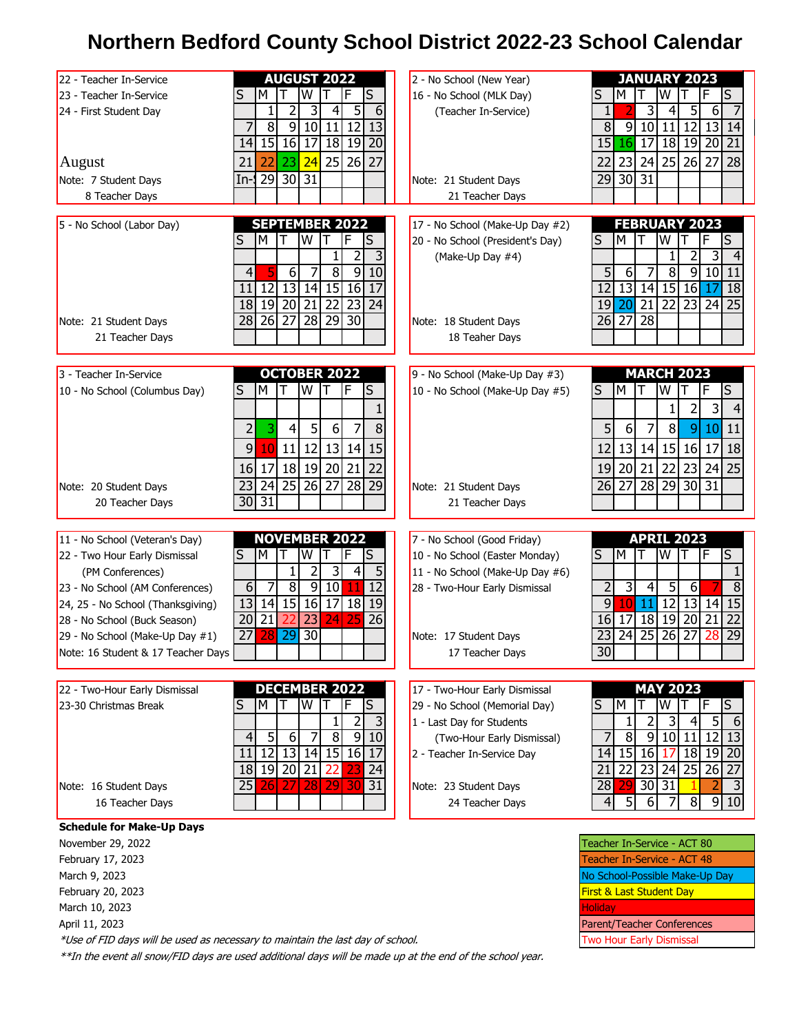## **Northern Bedford County School District 2022-23 School Calendar**

| 22 - Teacher In-Service            | <b>AUGUST 2022</b>                                                                          | 2 - No School (New Year)         | <b>JANUARY 2023</b>                                                                     |  |  |  |
|------------------------------------|---------------------------------------------------------------------------------------------|----------------------------------|-----------------------------------------------------------------------------------------|--|--|--|
| 23 - Teacher In-Service            | S<br>W<br>F<br>S<br>М                                                                       | 16 - No School (MLK Day)         | W<br>S<br>M<br>S                                                                        |  |  |  |
| 24 - First Student Day             | 5<br>1<br>2<br>4<br>6                                                                       | (Teacher In-Service)             | 3<br>5<br>1<br>6<br>4                                                                   |  |  |  |
|                                    | $\overline{8}$<br>$\overline{9}$<br>10<br>11<br>12<br>13                                    |                                  | $\overline{8}$<br>9<br>10<br>12<br>13<br>11<br>14                                       |  |  |  |
|                                    | 15<br>16<br>18 19<br>$\overline{20}$<br>17<br>14                                            |                                  | $18$   19 <br>$\overline{20}$<br>15<br>16<br>17<br>21                                   |  |  |  |
| August                             | $25$   26 <br>24<br>27<br>21<br>22<br>23                                                    |                                  | 25<br>23<br>26<br>27<br>28<br>22<br>24                                                  |  |  |  |
| Note: 7 Student Days               | $\overline{31}$<br>$29$ 30<br>$In-1$                                                        | Note: 21 Student Days            | $\overline{30}$<br>$\overline{31}$<br>29                                                |  |  |  |
|                                    |                                                                                             | 21 Teacher Days                  |                                                                                         |  |  |  |
| 8 Teacher Days                     |                                                                                             |                                  |                                                                                         |  |  |  |
| 5 - No School (Labor Day)          | <b>SEPTEMBER 2022</b>                                                                       | 17 - No School (Make-Up Day #2)  | <b>FEBRUARY 2023</b>                                                                    |  |  |  |
|                                    | S<br>S<br>M<br>W                                                                            | 20 - No School (President's Day) | M<br>S<br>S<br>W                                                                        |  |  |  |
|                                    | 2<br>3                                                                                      |                                  | 2<br>3                                                                                  |  |  |  |
|                                    | $\overline{8}$<br>$\overline{6}$<br> 9 <br>$\overline{4}$<br>10                             | (Make-Up Day #4)                 | 5 <sup>1</sup><br>$\infty$                                                              |  |  |  |
|                                    |                                                                                             |                                  | 6<br>9 10 11                                                                            |  |  |  |
|                                    | 13<br>15 16<br>12<br>14<br>11<br>17                                                         |                                  | 13<br>15 16<br>12<br>14<br>18<br>17                                                     |  |  |  |
|                                    | $19$   20<br>$\overline{18}$<br>$\overline{21}$<br>$\overline{22}$<br>$\overline{23}$<br>24 |                                  | $\overline{21}$<br>19<br>$\overline{20}$<br>$\overline{22}$<br>23<br>$24 \overline{25}$ |  |  |  |
| Note: 21 Student Days              | $\overline{27}$<br>$\overline{28}$<br>$29$   30<br>26<br>28                                 | Note: 18 Student Days            | $\overline{27}$<br>$\overline{28}$<br>26                                                |  |  |  |
| 21 Teacher Days                    |                                                                                             | 18 Teaher Days                   |                                                                                         |  |  |  |
|                                    |                                                                                             |                                  |                                                                                         |  |  |  |
| 3 - Teacher In-Service             | <b>OCTOBER 2022</b>                                                                         | 9 - No School (Make-Up Day #3)   | <b>MARCH 2023</b>                                                                       |  |  |  |
| 10 - No School (Columbus Day)      | W<br>IF<br>M<br>S<br>S                                                                      | 10 - No School (Make-Up Day #5)  | W<br>M<br>F<br>S<br>S                                                                   |  |  |  |
|                                    |                                                                                             |                                  |                                                                                         |  |  |  |
|                                    |                                                                                             |                                  | 3                                                                                       |  |  |  |
|                                    | 3<br>5<br>6 <sup>1</sup><br>7<br>8<br>2<br>4                                                |                                  | 5<br>$\bf 8$<br>6<br> 9 <br>11<br>7<br>10                                               |  |  |  |
|                                    | 11<br>12<br>13 14<br>9<br>10 <sup>1</sup><br>15                                             |                                  | 13<br>16<br>12<br>14<br>15<br>17<br>18                                                  |  |  |  |
|                                    | 18<br>20<br>19<br>16<br>17<br>21<br>22                                                      |                                  | 22<br>20<br>21<br>23<br>19<br>24<br>25                                                  |  |  |  |
|                                    |                                                                                             |                                  |                                                                                         |  |  |  |
| Note: 20 Student Days              | $\overline{25}$<br>$\overline{26}$<br>$\overline{27}$<br>$\overline{28}$<br>29<br>23<br>24  | Note: 21 Student Days            | $\overline{28}$<br>$\overline{29}$<br>30 <sup>°</sup><br>31<br>27<br>26                 |  |  |  |
| 20 Teacher Days                    | 31<br>30                                                                                    | 21 Teacher Days                  |                                                                                         |  |  |  |
|                                    |                                                                                             |                                  |                                                                                         |  |  |  |
| 11 - No School (Veteran's Day)     | <b>NOVEMBER 2022</b>                                                                        | 7 - No School (Good Friday)      | <b>APRIL 2023</b>                                                                       |  |  |  |
| 22 - Two Hour Early Dismissal      | S<br>S<br>M<br>W<br>F                                                                       | 10 - No School (Easter Monday)   | S<br>M<br>W<br>F<br>S                                                                   |  |  |  |
| (PM Conferences)                   | 3<br>5<br>2<br>4<br>1                                                                       | 11 - No School (Make-Up Day #6)  |                                                                                         |  |  |  |
| 23 - No School (AM Conferences)    | $\overline{8}$<br>7<br>9<br>10<br>$\overline{12}$<br>6<br>11                                | 28 - Two-Hour Early Dismissal    | $\overline{2}$<br>3<br>5<br>$\overline{8}$<br>$\overline{4}$<br>$6 \overline{6}$        |  |  |  |
| 24, 25 - No School (Thanksgiving)  | 15<br>16<br> 18 <br>13<br>14<br>17<br>19                                                    |                                  | $\overline{9}$<br>$\overline{12}$<br>13<br>15<br>14<br>10 <sup>°</sup><br>11            |  |  |  |
| 28 - No School (Buck Season)       | $\overline{21}$<br>20<br>23<br>26<br>24                                                     |                                  | 18<br>19<br>$\overline{20}$<br>$\overline{22}$<br>$16$   17<br>21                       |  |  |  |
| 29 - No School (Make-Up Day #1)    | 29<br>$\overline{30}$<br>27                                                                 | Note: 17 Student Days            | $\overline{25}$<br>29<br>24<br>26<br>27<br>23<br>28                                     |  |  |  |
| Note: 16 Student & 17 Teacher Days |                                                                                             | 17 Teacher Days                  | 30                                                                                      |  |  |  |
|                                    |                                                                                             |                                  |                                                                                         |  |  |  |
|                                    |                                                                                             |                                  |                                                                                         |  |  |  |
| 22 - Two-Hour Early Dismissal      | <b>DECEMBER 2022</b>                                                                        | 17 - Two-Hour Early Dismissal    | <b>MAY 2023</b>                                                                         |  |  |  |
| 23-30 Christmas Break              | S<br>W<br>F<br>S<br>M                                                                       | 29 - No School (Memorial Day)    | S<br>M<br>W<br>F<br>S                                                                   |  |  |  |
|                                    | $\overline{2}$                                                                              | 1 - Last Day for Students        | 3<br>5 <sup>1</sup><br>4<br>2<br>6                                                      |  |  |  |
|                                    | 9 10<br>$\overline{8}$<br>5 <sub>l</sub><br>6<br>4                                          | (Two-Hour Early Dismissal)       | $\overline{8}$<br>12 13<br>9<br>10 11                                                   |  |  |  |
|                                    | 13<br>$14$ 15 16<br>12<br>17<br>11                                                          | 2 - Teacher In-Service Day       | $14$ 15<br>16<br>18 19 20<br>17                                                         |  |  |  |
|                                    | $19$ 20<br>18<br>21<br>24<br>22                                                             |                                  | $\overline{22}$<br>$\overline{23}$<br>25<br>24<br>$26$   27<br>21                       |  |  |  |
| Note: 16 Student Days              | 29<br>27<br>30<br>31<br>28<br>25<br>261                                                     | Note: 23 Student Days            | 30 31<br>29<br>28                                                                       |  |  |  |
| 16 Teacher Days                    |                                                                                             | 24 Teacher Days                  | 5<br>$\infty$<br>9 10<br>6<br>$\left 4\right $<br>7                                     |  |  |  |
|                                    |                                                                                             |                                  |                                                                                         |  |  |  |
| <b>Schedule for Make-Up Days</b>   |                                                                                             |                                  |                                                                                         |  |  |  |
| November 29, 2022                  |                                                                                             |                                  | Teacher In-Service - ACT 80                                                             |  |  |  |

Teacher In-Service - ACT 48 No School-Possible Make-Up Day First & Last Student Day

Parent/Teacher Conferences Two Hour Early Dismissal

Holiday

February 17, 2023 March 9, 2023 February 20, 2023 March 10, 2023 April 11, 2023

\*Use of FID days will be used as necessary to maintain the last day of school.

\*\*In the event all snow/FID days are used additional days will be made up at the end of the school year.